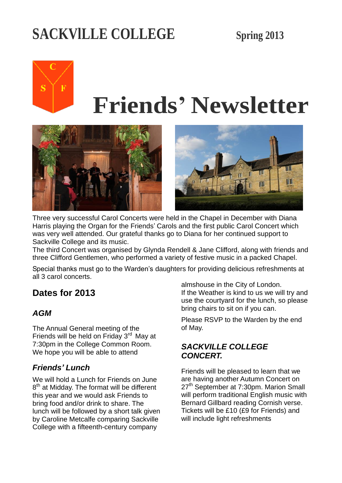# **SACKVlLLE COLLEGE Spring 2013**

# $\mathbf F$ S

# **Friends' Newsletter**





Three very successful Carol Concerts were held in the Chapel in December with Diana Harris playing the Organ for the Friends' Carols and the first public Carol Concert which was very well attended. Our grateful thanks go to Diana for her continued support to Sackville College and its music.

The third Concert was organised by Glynda Rendell & Jane Clifford, along with friends and three Clifford Gentlemen, who performed a variety of festive music in a packed Chapel.

Special thanks must go to the Warden's daughters for providing delicious refreshments at all 3 carol concerts.

## **Dates for 2013**

#### *AGM*

The Annual General meeting of the Friends will be held on Friday  $3<sup>rd</sup>$  May at 7:30pm in the College Common Room. We hope you will be able to attend

#### *Friends' Lunch*

We will hold a Lunch for Friends on June 8<sup>th</sup> at Midday. The format will be different this year and we would ask Friends to bring food and/or drink to share. The lunch will be followed by a short talk given by Caroline Metcalfe comparing Sackville College with a fifteenth-century company

almshouse in the City of London. If the Weather is kind to us we will try and use the courtyard for the lunch, so please bring chairs to sit on if you can.

Please RSVP to the Warden by the end of May.

#### *SACKVILLE COLLEGE CONCERT.*

Friends will be pleased to learn that we are having another Autumn Concert on 27<sup>th</sup> September at 7:30pm. Marion Small will perform traditional English music with Bernard Gillbard reading Cornish verse. Tickets will be £10 (£9 for Friends) and will include light refreshments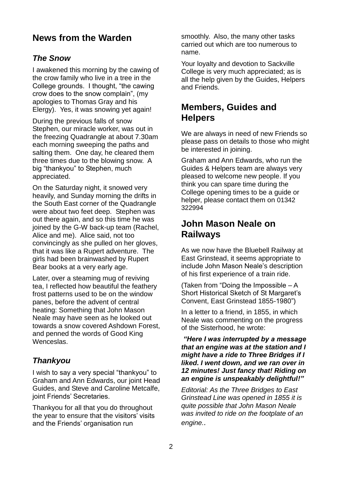#### **News from the Warden**

#### *The Snow*

I awakened this morning by the cawing of the crow family who live in a tree in the College grounds. I thought, "the cawing crow does to the snow complain", (my apologies to Thomas Gray and his Elergy). Yes, it was snowing yet again!

During the previous falls of snow Stephen, our miracle worker, was out in the freezing Quadrangle at about 7.30am each morning sweeping the paths and salting them. One day, he cleared them three times due to the blowing snow. A big "thankyou" to Stephen, much appreciated.

On the Saturday night, it snowed very heavily, and Sunday morning the drifts in the South East corner of the Quadrangle were about two feet deep. Stephen was out there again, and so this time he was joined by the G-W back-up team (Rachel, Alice and me). Alice said, not too convincingly as she pulled on her gloves, that it was like a Rupert adventure. The girls had been brainwashed by Rupert Bear books at a very early age.

Later, over a steaming mug of reviving tea, I reflected how beautiful the feathery frost patterns used to be on the window panes, before the advent of central heating: Something that John Mason Neale may have seen as he looked out towards a snow covered Ashdown Forest, and penned the words of Good King Wenceslas.

#### *Thankyou*

I wish to say a very special "thankyou" to Graham and Ann Edwards, our joint Head Guides, and Steve and Caroline Metcalfe, joint Friends' Secretaries.

Thankyou for all that you do throughout the year to ensure that the visitors' visits and the Friends' organisation run

smoothly. Also, the many other tasks carried out which are too numerous to name.

Your loyalty and devotion to Sackville College is very much appreciated; as is all the help given by the Guides, Helpers and Friends.

## **Members, Guides and Helpers**

We are always in need of new Friends so please pass on details to those who might be interested in joining.

Graham and Ann Edwards, who run the Guides & Helpers team are always very pleased to welcome new people. If you think you can spare time during the College opening times to be a guide or helper, please contact them on 01342 322994

### **John Mason Neale on Railways**

As we now have the Bluebell Railway at East Grinstead, it seems appropriate to include John Mason Neale's description of his first experience of a train ride.

(Taken from "Doing the Impossible – A Short Historical Sketch of St Margaret's Convent, East Grinstead 1855-1980")

In a letter to a friend, in 1855, in which Neale was commenting on the progress of the Sisterhood, he wrote:

*"Here I was interrupted by a message that an engine was at the station and I might have a ride to Three Bridges if I liked. I went down, and we ran over in 12 minutes! Just fancy that! Riding on an engine is unspeakably delightful!"*

*Editorial: As the Three Bridges to East Grinstead Line was opened in 1855 it is quite possible that John Mason Neale was invited to ride on the footplate of an engine..*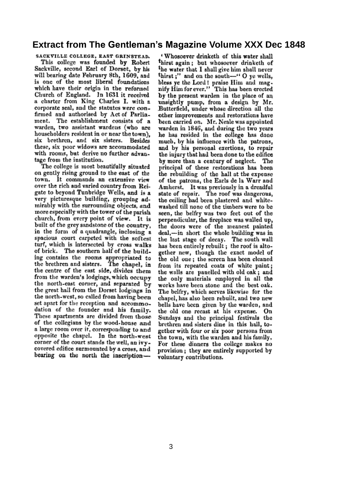#### **Extract from The Gentleman's Magazine Volume XXX Dec 1848**

SACKVILLE COLLEGE, EAST GRINSTEAD. This college was founded by Robert Sackville, second Earl of Dorset, by his will bearing date February 8th, 1609, and is one of the most liberal foundations which have their origin in the reformed Church of England. In 1631 it received a charter from King Charles I. with a corporate seal, and the statutes were confirmed and authorised by Act of Parliament. The establishment consists of a warden, two assistant wardens (who are householders resident in or near the town), six brethren, and six sisters. Besides these, six poor widows are accommodated with rooms, but derive no further advantage from the institution.

The college is most beautifully situated on gently rising ground to the east of the town. It commands an extensive view over the rich and varied country from Reigate to beyond Tunbridge Wells, and is a very picturesque building, grouping admirably with the surrounding objects, and more especially with the tower of the parish church, from every point of view. It is built of the grey sandstone of the country. in the form of a quadrangle, inclosing a spacious court carpeted with the softest turf, which is intersected by cross walks of brick. The southern half of the building contains the rooms appropriated to the brethren and sisters. The chapel, in the centre of the east side, divides them from the warden's lodgings, which occupy the north-east corner, and separated by the great hall from the Dorset lodgings in the north-west, so called from having been set apart for the reception and accommodation of the founder and his family. These apartments are divided from those of the collegians by the wood-house and a large room over it, corresponding to and opposite the chapel. In the north-west corner of the court stands the well, an ivvcovered edifice surmounted by a cross, and bearing on the north the inscription-

'Whosoever drinketh of this water shall thirst again; but whosoever drinketh of the water that I shall give him shall never thirst;" and on the south-' O ye wells, bless ye the Lord! praise Him and mag-<br>nify Him for ever." This has been erected by the present warden in the place of an unsightly pump, from a design by Mr. Butterfield, under whose direction all the other improvements and restorations have been carried on. Mr. Neale was appointed warden in 1846, and during the two years he has resided in the college has done much, by his influence with the patrons, and by his personal exertions, to repair the injury that had been done to the edifice by more than a century of neglect. The principal of these restorations has been the rebuilding of the hall at the expense of the patrons, the Earls de la Warr and Amherst. It was previously in a dreadful state of repair. The roof was dangerous, the ceiling had been plastered and whitewashed till none of the timbers were to be seen, the belfry was two feet out of the perpendicular, the fireplace was walled up, the doors were of the meanest painted deal,—in short the whole building was in the last stage of decay. The south wall has been entirely rebuilt; the roof is altogether new, though the exact model of the old one; the screen has been cleaned from its repeated coats of white paint; the walls are panelled with old oak; and the only materials employed in all the works have been stone and the best oak. The belfry, which serves likewise for the chapel, has also been rebuilt, and two new bells have been given by the warden, and the old one recast at his expense. On Sundays and the principal festivals the brethren and sisters dine in this hall, together with four or six poor persons from the town, with the warden and his family, For these dinners the college makes no provision; they are entirely supported by voluntary contributions.